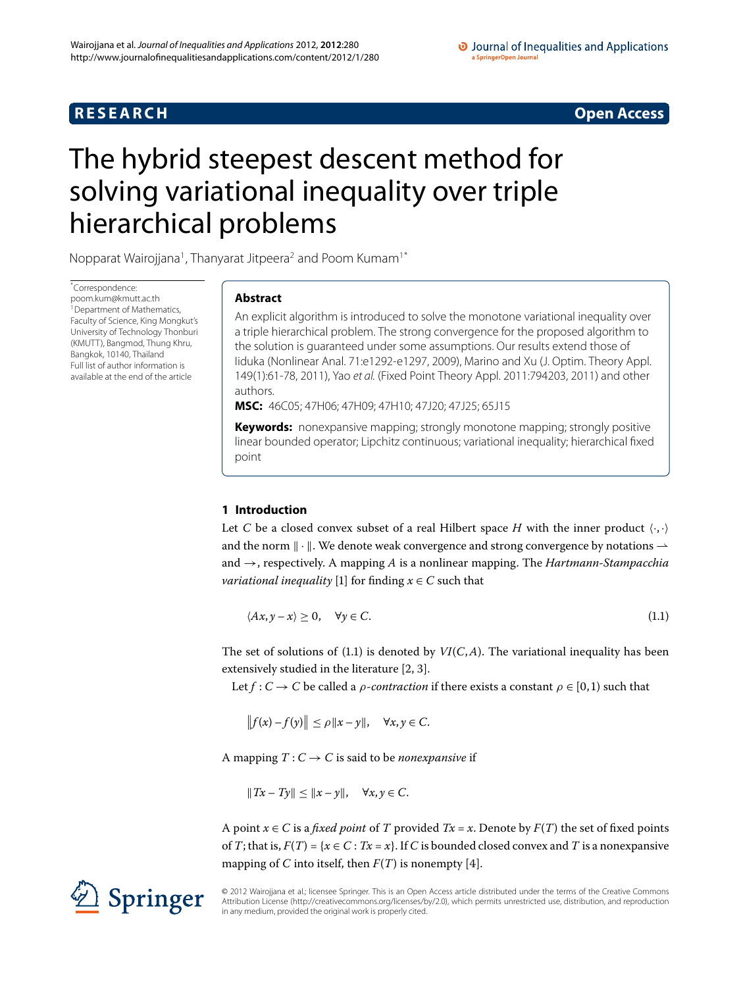# **R E S E A R C H Open Access**

# <span id="page-0-0"></span>The hybrid steepest descent method for solving variational inequality over triple hierarchical problems

Nopparat Wairojjana<sup>1</sup>, Thanyarat Jitpeera<sup>2</sup> and Poom Kumam<sup>1[\\*](#page-0-0)</sup>

\* Correspondence: [poom.kum@kmutt.ac.th](mailto:poom.kum@kmutt.ac.th) <sup>1</sup> Department of Mathematics, Faculty of Science, King Mongkut's University of Technology Thonburi (KMUTT), Bangmod, Thung Khru, Bangkok, 10140, Thailand Full list of author information is available at the end of the article

# **Abstract**

An explicit algorithm is introduced to solve the monotone variational inequality over a triple hierarchical problem. The strong convergence for the proposed algorithm to the solution is guaranteed under some assumptions. Our results extend those of Iiduka (Nonlinear Anal. 71:e1292-e1297, 2009), Marino and Xu (J. Optim. Theory Appl. 149(1):61-78, 2011), Yao et al. (Fixed Point Theory Appl. 2011:794203, 2011) and other authors.

**MSC:** 46C05; 47H06; 47H09; 47H10; 47J20; 47J25; 65J15

**Keywords:** nonexpansive mapping; strongly monotone mapping; strongly positive linear bounded operator; Lipchitz continuous; variational inequality; hierarchical fixed point

# **1 Introduction**

Let C be a closed convex subset of a real Hilbert space H with the inner product  $\langle \cdot, \cdot \rangle$ and the norm  $\|\cdot\|$ . We denote weak convergence and strong convergence by notations  $\rightharpoonup$ and →, respectively. A mapping *A* is a nonlinear mapping. The *Hartmann-Stampacchia variational inequality* [1[\]](#page-15-2) for finding  $x \in C$  such that

<span id="page-0-1"></span>
$$
\langle Ax, y - x \rangle \ge 0, \quad \forall y \in C. \tag{1.1}
$$

The set of solutions of (1.1) is denoted by  $VI(C, A)$ . The variational inequality has been extensively studied in the literature  $[2, 3]$  $[2, 3]$  $[2, 3]$ .

Let  $f: C \to C$  be called a *ρ*-*contraction* if there exists a constant  $\rho \in [0,1)$  such that

$$
||f(x)-f(y)|| \le \rho ||x-y||, \quad \forall x, y \in C.
$$

A mapping  $T: C \to C$  is said to be *nonexpansive* if

 $||Tx - Ty|| \le ||x - y||, \quad \forall x, y \in C.$ 

A point  $x \in C$  is a *fixed point* of *T* provided  $Tx = x$ . Denote by  $F(T)$  the set of fixed points of *T*; that is,  $F(T) = \{x \in C : Tx = x\}$ . If *C* is bounded closed convex and *T* is a nonexpansive mapping of *C* into itself, then  $F(T)$  is nonempty [4].

© 2012 Wairojjana et al.; licensee Springer. This is an Open Access article distributed under the terms of the Creative Commons Attribution License [\(http://creativecommons.org/licenses/by/2.0](http://creativecommons.org/licenses/by/2.0)), which permits unrestricted use, distribution, and reproduction in any medium, provided the original work is properly cited.

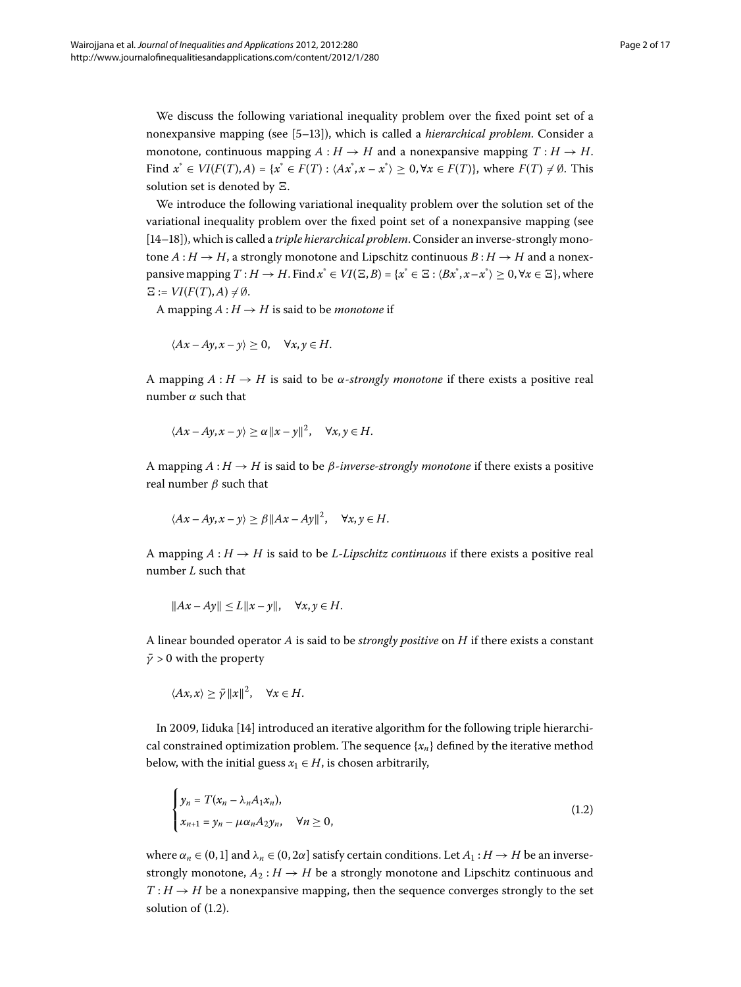We discuss the following variational inequality problem over the fixed point set of a nonexpansive mapping (see [5-13[\]](#page-16-0)), which is called a *hierarchical problem*. Consider a monotone, continuous mapping  $A : H \to H$  and a nonexpansive mapping  $T : H \to H$ . *Find*  $x^*$  ∈ *VI*(*F*(*T*),*A*) = { $x^*$  ∈ *F*(*T*) :  $\langle Ax^*, x - x^* \rangle \ge 0$ ,  $\forall x \in F(T)$ }, where *F*(*T*) ≠ Ø. This solution set is denoted by  $\Xi$ .

We introduce the following variational inequality problem over the solution set of the variational inequality problem over the fixed point set of a nonexpansive mapping (see [14-18[\]](#page-16-2)), which is called a *triple hierarchical problem*. Consider an inverse-strongly monotone  $A: H \to H$ , a strongly monotone and Lipschitz continuous  $B: H \to H$  and a nonexpansive mapping  $T : H \to H$ . Find  $x^* \in VI(\Xi, B) = \{x^* \in \Xi : \langle Bx^*, x - x^* \rangle \geq 0, \forall x \in \Xi\}$ , where  $\Xi := VI(F(T), A) \neq \emptyset.$ 

A mapping  $A: H \to H$  is said to be *monotone* if

$$
\langle Ax - Ay, x - y \rangle \ge 0, \quad \forall x, y \in H.
$$

A mapping  $A: H \to H$  is said to be  $\alpha$ -*strongly monotone* if there exists a positive real number *α* such that

$$
\langle Ax - Ay, x - y \rangle \ge \alpha ||x - y||^2, \quad \forall x, y \in H.
$$

A mapping  $A : H \to H$  is said to be  $\beta$ -*inverse-strongly monotone* if there exists a positive real number *β* such that

$$
\langle Ax - Ay, x - y \rangle \ge \beta ||Ax - Ay||^2, \quad \forall x, y \in H.
$$

A mapping  $A : H \to H$  is said to be *L*-*Lipschitz continuous* if there exists a positive real number *L* such that

$$
||Ax - Ay|| \le L||x - y||, \quad \forall x, y \in H.
$$

A linear bounded operator *A* is said to be *strongly positive* on *H* if there exists a constant  $\bar{\gamma}$  > 0 with the property

<span id="page-1-0"></span>
$$
\langle Ax, x \rangle \geq \bar{\gamma} \|x\|^2, \quad \forall x \in H.
$$

In 2009, Iiduka [\[](#page-16-1)14] introduced an iterative algorithm for the following triple hierarchical constrained optimization problem. The sequence  ${x_n}$  defined by the iterative method below, with the initial guess  $x_1 \in H$ , is chosen arbitrarily,

$$
\begin{cases}\n y_n = T(x_n - \lambda_n A_1 x_n), \\
 x_{n+1} = y_n - \mu \alpha_n A_2 y_n, \quad \forall n \ge 0,\n\end{cases}
$$
\n(1.2)

where  $\alpha_n \in (0,1]$  and  $\lambda_n \in (0, 2\alpha]$  satisfy certain conditions. Let  $A_1 : H \to H$  be an inversestrongly monotone,  $A_2: H \to H$  be a strongly monotone and Lipschitz continuous and  $T : H \to H$  be a nonexpansive mapping, then the sequence converges strongly to the set solution of  $(1.2)$ .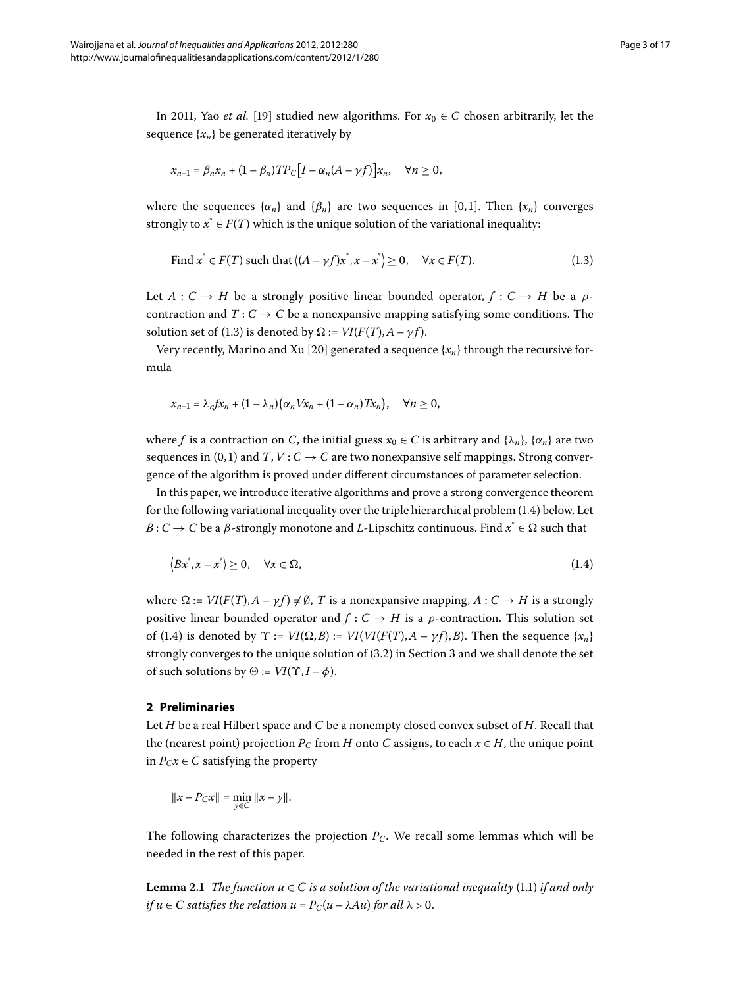In 2011, Yao *et al.* [19[\]](#page-16-3) studied new algorithms. For  $x_0 \in C$  chosen arbitrarily, let the sequence  $\{x_n\}$  be generated iteratively by

<span id="page-2-0"></span>
$$
x_{n+1} = \beta_n x_n + (1 - \beta_n) T P_C \big[ I - \alpha_n (A - \gamma f) \big] x_n, \quad \forall n \ge 0,
$$

where the sequences  $\{\alpha_n\}$  and  $\{\beta_n\}$  are two sequences in [0,1]. Then  $\{x_n\}$  converges strongly to  $x^* \in F(T)$  which is the unique solution of the variational inequality:

Find 
$$
x^* \in F(T)
$$
 such that  $\langle (A - \gamma f)x^*, x - x^* \rangle \ge 0$ ,  $\forall x \in F(T)$ . (1.3)

Let  $A: C \rightarrow H$  be a strongly positive linear bounded operator,  $f: C \rightarrow H$  be a  $\rho$ contraction and  $T: C \to C$  be a nonexpansive mapping satisfying some conditions. The solution set of (1.3) is denoted by  $\Omega := VI(F(T), A - \gamma f)$ .

Very recently, Marino and Xu [20] generated a sequence  $\{x_n\}$  through the recursive formula

<span id="page-2-1"></span>
$$
x_{n+1} = \lambda_n f x_n + (1 - \lambda_n) (\alpha_n V x_n + (1 - \alpha_n) T x_n), \quad \forall n \geq 0,
$$

where *f* is a contraction on *C*, the initial guess  $x_0 \in C$  is arbitrary and  $\{\lambda_n\}$ ,  $\{\alpha_n\}$  are two sequences in (0, 1) and *T*, *V* :  $C \rightarrow C$  are two nonexpansive self mappings. Strong convergence of the algorithm is proved under different circumstances of parameter selection.

In this paper, we introduce iterative algorithms and prove a strong convergence theorem for the following variational inequality over the triple hierarchical problem  $(1.4)$  $(1.4)$  $(1.4)$  below. Let *B* : *C* → *C* be a *β*-strongly monotone and *L*-Lipschitz continuous. Find  $x^* \in \Omega$  such that

$$
\langle Bx^*, x - x^* \rangle \ge 0, \quad \forall x \in \Omega,
$$
\n(1.4)

where  $\Omega := VI(F(T), A - \gamma f) \neq \emptyset$ , *T* is a nonexpansive mapping,  $A: C \to H$  is a strongly positive linear bounded operator and  $f : C \to H$  is a  $\rho$ -contraction. This solution set of (1.4) is denoted by  $\Upsilon := VI(\Omega, B) := VI(VI(F(T), A - \gamma f), B)$ . Then the sequence { $x_n$ } strongly converges to the unique solution of  $(3.2)$  in Section 3 and we shall denote the set of such solutions by  $\Theta := VI(\Upsilon, I - \phi)$ .

## **2 Preliminaries**

Let *H* be a real Hilbert space and *C* be a nonempty closed convex subset of *H*. Recall that the (nearest point) projection  $P_C$  from *H* onto *C* assigns, to each  $x \in H$ , the unique point in  $P_Cx \in C$  satisfying the property

$$
||x - P_C x|| = \min_{y \in C} ||x - y||.
$$

The following characterizes the projection  $P_C$ . We recall some lemmas which will be needed in the rest of this paper.

**Lemma 2.1** *The function*  $u \in C$  *is a solution of the variational inequality* (1.1) *if and only if*  $u \in C$  *satisfies the relation*  $u = P_C(u - \lambda Au)$  *for all*  $\lambda > 0$ *.*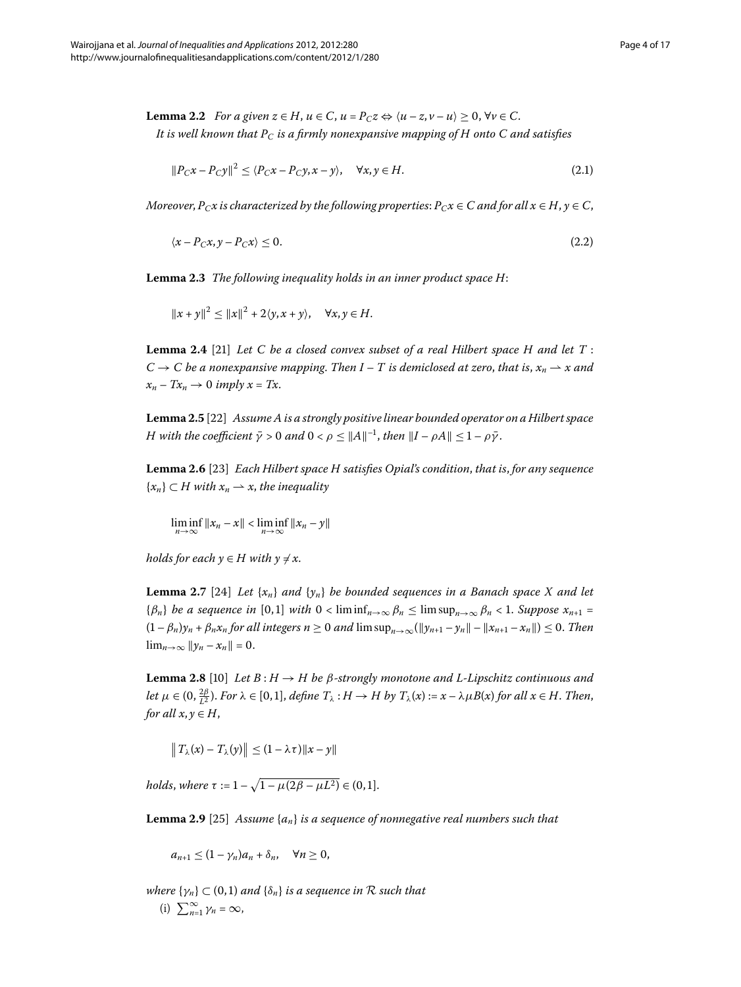**Lemma 2.2** For a given  $z \in H$ ,  $u \in C$ ,  $u = P_C z \Leftrightarrow \langle u - z, v - u \rangle \ge 0$ ,  $\forall v \in C$ . *It is well known that PC is a firmly nonexpansive mapping of H onto C and satisfies*

$$
||P_C x - P_C y||^2 \le \langle P_C x - P_C y, x - y \rangle, \quad \forall x, y \in H.
$$
\n(2.1)

*Moreover*,  $P_Cx$  is characterized by the following properties:  $P_Cx \in C$  and for all  $x \in H$ ,  $y \in C$ ,

$$
\langle x - P_C x, y - P_C x \rangle \le 0. \tag{2.2}
$$

Lemma 2.3 The following inequality holds in an inner product space H:

$$
||x + y||2 \le ||x||2 + 2\langle y, x + y \rangle, \quad \forall x, y \in H.
$$

**Lemma 2.4** [\[](#page-16-5)21] Let C be a closed convex subset of a real Hilbert space H and let  $T$ :  $C \rightarrow C$  be a nonexpansive mapping. Then I – T is demiclosed at zero, that is,  $x_n \rightharpoonup x$  and  $x_n - Tx_n \to 0$  *imply*  $x = Tx$ .

Lemma 2.5 [\[](#page-16-6)22] Assume A is a strongly positive linear bounded operator on a Hilbert space *H* with the coefficient  $\bar{\gamma} > 0$  and  $0 < \rho \leq ||A||^{-1}$ , then  $||I - \rho A|| \leq 1 - \rho \bar{\gamma}$ .

**Lemma .** [[\]](#page-16-7) *Each Hilbert space H satisfies Opial's condition*, *that is*, *for any sequence*  ${x_n} \subset H$  with  $x_n \to x$ , the inequality

 $\liminf_{n\to\infty}||x_n-x|| < \liminf_{n\to\infty}||x_n-y||$ 

<span id="page-3-0"></span> $holds for each y \in H with y \neq x$ .

**Lemma 2.7** [24[\]](#page-16-8) Let  $\{x_n\}$  and  $\{y_n\}$  be bounded sequences in a Banach space X and let { $\beta_n$ } *be a sequence in* [0,1] *with*  $0 < \liminf_{n \to \infty} \beta_n \le \limsup_{n \to \infty} \beta_n < 1$ . Suppose  $x_{n+1} =$  $(1 - \beta_n)y_n + \beta_n x_n$  for all integers  $n \ge 0$  and  $\limsup_{n \to \infty} (\|y_{n+1} - y_n\| - \|x_{n+1} - x_n\|) \le 0$ . Then  $\lim_{n\to\infty} ||y_n - x_n|| = 0.$ 

<span id="page-3-1"></span>**Lemma 2.8** [10] Let  $B: H \to H$  be  $\beta$ -strongly monotone and L-Lipschitz continuous and let  $\mu \in (0, \frac{2\beta}{L^2})$ . For  $\lambda \in [0,1]$ , define  $T_{\lambda}: H \to H$  by  $T_{\lambda}(x) := x - \lambda \mu B(x)$  for all  $x \in H$ . Then, *for all*  $x, y \in H$ ,

 $||T_{\lambda}(x) - T_{\lambda}(y)|| \leq (1 - \lambda \tau) ||x - y||$ 

 $holds, where \tau := 1 - \sqrt{1 - \mu(2\beta - \mu L^2)} \in (0, 1].$ 

**Lemma 2.9** [\[](#page-16-10)25] Assume  $\{a_n\}$  *is a sequence of nonnegative real numbers such that* 

$$
a_{n+1}\leq (1-\gamma_n)a_n+\delta_n, \quad \forall n\geq 0,
$$

*where*  $\{\gamma_n\} \subset (0,1)$  *and*  $\{\delta_n\}$  *is a sequence in*  $\mathcal R$  *such that* (i)  $\sum_{n=1}^{\infty} \gamma_n = \infty$ ,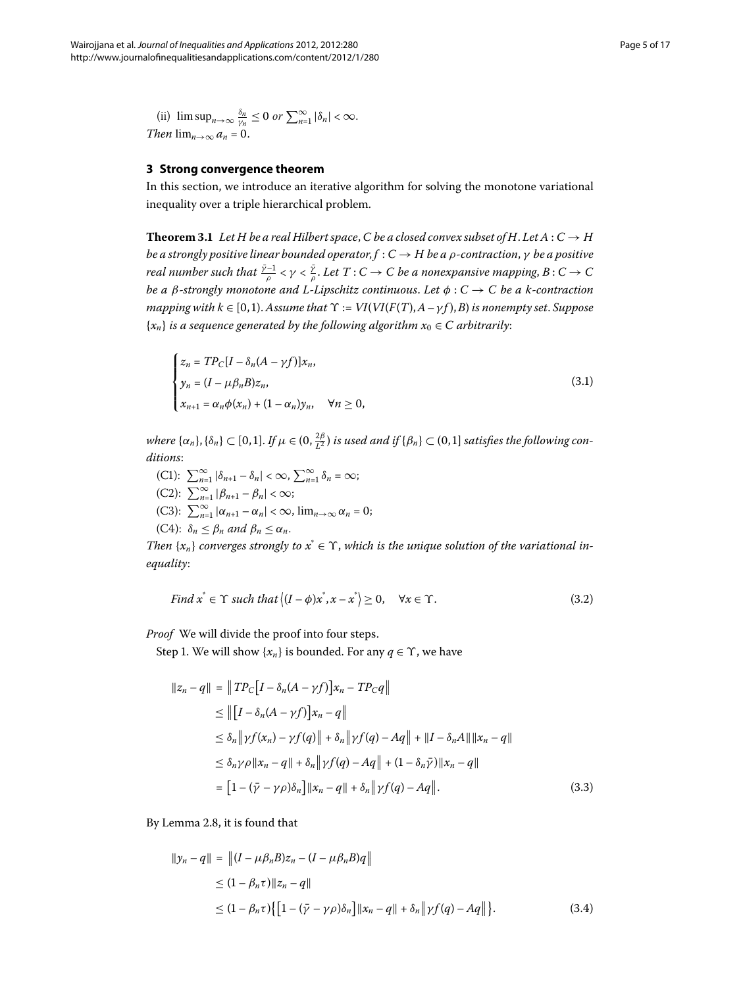<span id="page-4-1"></span>(ii)  $\limsup_{n\to\infty} \frac{\delta_n}{\gamma_n} \leq 0 \text{ or } \sum_{n=1}^{\infty} |\delta_n| < \infty.$ *Then*  $\lim_{n\to\infty} a_n = 0$ .

# **3 Strong convergence theorem**

In this section, we introduce an iterative algorithm for solving the monotone variational inequality over a triple hierarchical problem.

**Theorem 3.1** Let H be a real Hilbert space, C be a closed convex subset of H. Let  $A: C \rightarrow H$ *be a strongly positive linear bounded operator*, *f* : *C* → *H be a ρ-contraction*, *γ be a positive real number such that*  $\frac{\bar{\gamma}-1}{\rho}<\gamma<\frac{\bar{\gamma}}{\rho}.$  *Let*  $T:C\to C$  *be a nonexpansive mapping,*  $B:C\to C$ *be a β-strongly monotone and L-Lipschitz continuous*. *Let φ* : *C* → *C be a k-contraction mapping with k*  $\in$  [0,1). Assume that  $\Upsilon$  :=  $VI(VI(F(T), A - \gamma f), B)$  is nonempty set. Suppose  ${x_n}$  *is a sequence generated by the following algorithm*  $x_0 \in C$  *arbitrarily*:

<span id="page-4-2"></span>
$$
\begin{cases}\n z_n = TP_C[I - \delta_n(A - \gamma f)]x_n, \\
 y_n = (I - \mu \beta_n B)z_n, \\
 x_{n+1} = \alpha_n \phi(x_n) + (1 - \alpha_n)y_n, \quad \forall n \ge 0,\n\end{cases}
$$
\n(3.1)

 $\omega$  *where*  $\{\alpha_n\}, \{\delta_n\} \subset [0,1]$ . If  $\mu \in (0, \frac{2\beta}{L^2})$  is used and if  $\{\beta_n\} \subset (0,1]$  satisfies the following con*ditions*:

- $(C1):$   $\sum_{n=1}^{\infty} |\delta_{n+1} \delta_n| < \infty,$   $\sum_{n=1}^{\infty} \delta_n = \infty;$
- <span id="page-4-0"></span> $(C2): \sum_{n=1}^{\infty} |\beta_{n+1} - \beta_n| < \infty;$
- (C3):  $\sum_{n=1}^{\infty} |\alpha_{n+1} \alpha_n| < \infty$ ,  $\lim_{n \to \infty} \alpha_n = 0$ ;
- (C4):  $\delta_n \leq \beta_n$  and  $\beta_n \leq \alpha_n$ .

*Then*  $\{x_n\}$  *converges strongly to*  $x^* \in \Upsilon$ , *which is the unique solution of the variational inequality*:

Find 
$$
x^* \in \Upsilon
$$
 such that  $\langle (I - \phi)x^*, x - x^* \rangle \ge 0$ ,  $\forall x \in \Upsilon$ . (3.2)

*Proof* We will divide the proof into four steps.

Step 1. We will show  $\{x_n\}$  is bounded. For any  $q \in \Upsilon$ , we have

$$
||z_n - q|| = ||TP_C[I - \delta_n(A - \gamma f)]x_n - TP_Cq||
$$
  
\n
$$
\le ||[I - \delta_n(A - \gamma f)]x_n - q||
$$
  
\n
$$
\le \delta_n || \gamma f(x_n) - \gamma f(q)|| + \delta_n || \gamma f(q) - Aq|| + ||I - \delta_n A|| ||x_n - q||
$$
  
\n
$$
\le \delta_n \gamma \rho ||x_n - q|| + \delta_n || \gamma f(q) - Aq|| + (1 - \delta_n \bar{\gamma}) ||x_n - q||
$$
  
\n
$$
= [1 - (\bar{\gamma} - \gamma \rho)\delta_n] ||x_n - q|| + \delta_n || \gamma f(q) - Aq||.
$$
 (3.3)

By Lemma 2.8, it is found that

$$
||y_n - q|| = ||(I - \mu \beta_n B)z_n - (I - \mu \beta_n B)q||
$$
  
\n
$$
\leq (1 - \beta_n \tau) ||z_n - q||
$$
  
\n
$$
\leq (1 - \beta_n \tau) \{ [1 - (\bar{\gamma} - \gamma \rho)\delta_n] ||x_n - q|| + \delta_n ||\gamma f(q) - Aq|| \}.
$$
\n(3.4)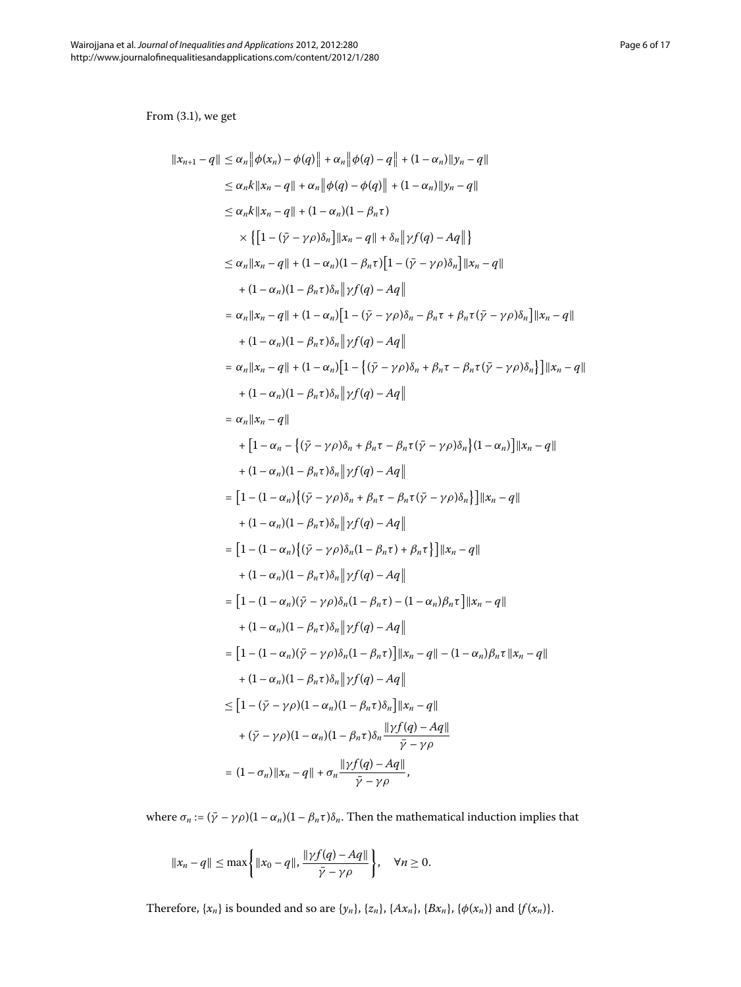From  $(3.1)$ , we get

$$
||x_{n+1} - q|| \le \alpha_n ||\phi(x_n) - \phi(q)|| + \alpha_n ||\phi(q) - q|| + (1 - \alpha_n)||y_n - q||
$$
  
\n
$$
\le \alpha_n k ||x_n - q|| + \alpha_n ||\phi(q) - \phi(q)|| + (1 - \alpha_n)||y_n - q||
$$
  
\n
$$
\le \alpha_n k ||x_n - q|| + (1 - \alpha_n)(1 - \beta_n \tau)
$$
  
\n
$$
\times \{ [1 - (\bar{y} - \gamma \rho)\delta_n] ||x_n - q|| + \delta_n ||\gamma f(q) - Aq|| \}
$$
  
\n
$$
\le \alpha_n ||x_n - q|| + (1 - \alpha_n)(1 - \beta_n \tau) [1 - (\bar{y} - \gamma \rho)\delta_n] ||x_n - q||
$$
  
\n
$$
+ (1 - \alpha_n)(1 - \beta_n \tau)\delta_n ||\gamma f(q) - Aq||
$$
  
\n
$$
= \alpha_n ||x_n - q|| + (1 - \alpha_n)[1 - (\bar{y} - \gamma \rho)\delta_n - \beta_n \tau + \beta_n \tau(\bar{y} - \gamma \rho)\delta_n] ||x_n - q||
$$
  
\n
$$
+ (1 - \alpha_n)(1 - \beta_n \tau)\delta_n ||\gamma f(q) - Aq||
$$
  
\n
$$
= \alpha_n ||x_n - q|| + (1 - \alpha_n)[1 - \{(\bar{y} - \gamma \rho)\delta_n + \beta_n \tau - \beta_n \tau(\bar{y} - \gamma \rho)\delta_n\}] ||x_n - q||
$$
  
\n
$$
+ (1 - \alpha_n)(1 - \beta_n \tau)\delta_n ||\gamma f(q) - Aq||
$$
  
\n
$$
= \alpha_n ||x_n - q||
$$
  
\n
$$
+ [1 - \alpha_n - \{(\bar{y} - \gamma \rho)\delta_n + \beta_n \tau - \beta_n \tau(\bar{y} - \gamma \rho)\delta_n\} (1 - \alpha_n) ] ||x_n - q||
$$
  
\n
$$
+ (1 - \alpha_n)(1 - \beta_n \tau)\delta_n ||\gamma f(q) - Aq||
$$
  
\n
$$
= [1 - (1 - \alpha_n)\{(\bar{y} - \gamma \rho)\delta_n + \beta_n \tau - \beta_n \tau(\bar{y} - \gamma \rho)\delta_n\} ||x_n - q||
$$
  
\n
$$
+ (1 - \alpha_n)(1
$$

where *σ*<sub>*n*</sub> :=  $(\bar{\gamma} - \gamma \rho)(1 - \alpha_n)(1 - \beta_n \tau)\delta_n$ . Then the mathematical induction implies that

$$
||x_n-q|| \leq \max\left\{||x_0-q||, \frac{||\gamma f(q)-Aq||}{\bar{\gamma}-\gamma\rho}\right\}, \quad \forall n \geq 0.
$$

Therefore,  $\{x_n\}$  is bounded and so are  $\{y_n\}$ ,  $\{z_n\}$ ,  $\{Ax_n\}$ ,  $\{Bx_n\}$ ,  $\{\phi(x_n)\}$  and  $\{f(x_n)\}$ .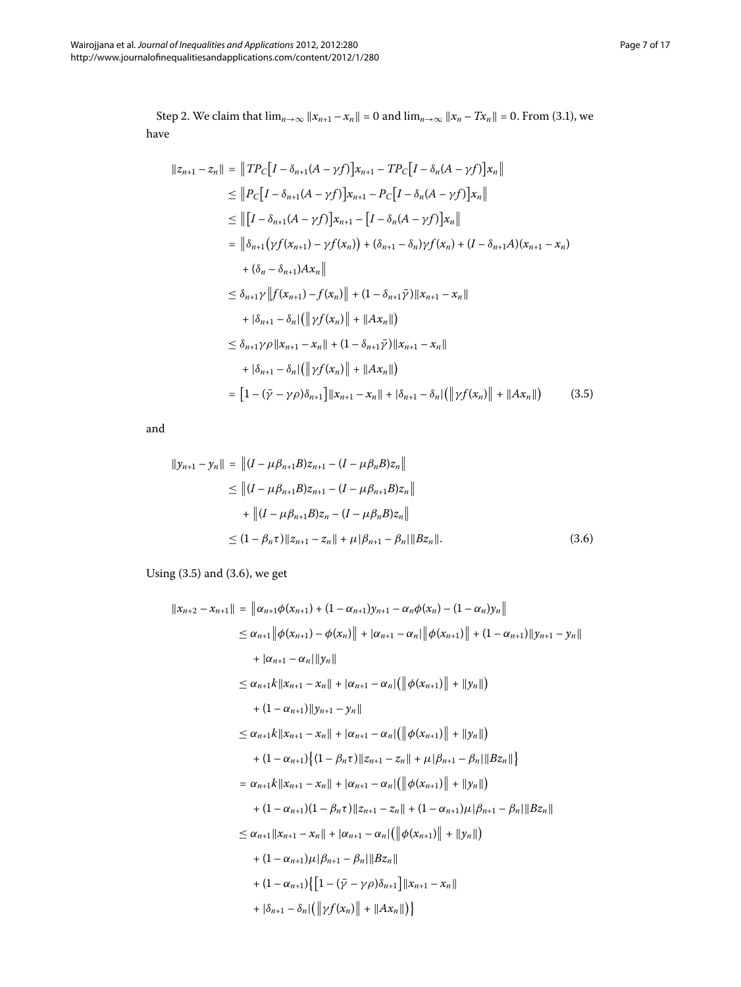<span id="page-6-0"></span>Step 2. We claim that  $\lim_{n\to\infty} ||x_{n+1} - x_n|| = 0$  and  $\lim_{n\to\infty} ||x_n - x_n|| = 0$ . From (3.1), we have

$$
||z_{n+1} - z_n|| = ||TP_C[I - \delta_{n+1}(A - \gamma f)]x_{n+1} - TP_C[I - \delta_n(A - \gamma f)]x_n||
$$
  
\n
$$
\leq ||P_C[I - \delta_{n+1}(A - \gamma f)]x_{n+1} - P_C[I - \delta_n(A - \gamma f)]x_n||
$$
  
\n
$$
\leq ||[I - \delta_{n+1}(A - \gamma f)]x_{n+1} - [I - \delta_n(A - \gamma f)]x_n||
$$
  
\n
$$
= ||\delta_{n+1}(\gamma f(x_{n+1}) - \gamma f(x_n)) + (\delta_{n+1} - \delta_n)\gamma f(x_n) + (I - \delta_{n+1}A)(x_{n+1} - x_n)
$$
  
\n
$$
+ (\delta_n - \delta_{n+1})Ax_n||
$$
  
\n
$$
\leq \delta_{n+1}\gamma ||f(x_{n+1}) - f(x_n)|| + (1 - \delta_{n+1}\bar{\gamma})||x_{n+1} - x_n||
$$
  
\n
$$
+ |\delta_{n+1} - \delta_n| (||\gamma f(x_n)|| + ||Ax_n||)
$$
  
\n
$$
\leq \delta_{n+1}\gamma \rho ||x_{n+1} - x_n|| + (1 - \delta_{n+1}\bar{\gamma})||x_{n+1} - x_n||
$$
  
\n
$$
+ |\delta_{n+1} - \delta_n| (||\gamma f(x_n)|| + ||Ax_n||)
$$
  
\n
$$
= [1 - (\bar{\gamma} - \gamma \rho)\delta_{n+1}]||x_{n+1} - x_n|| + |\delta_{n+1} - \delta_n| (||\gamma f(x_n)|| + ||Ax_n||)
$$
 (3.5)

<span id="page-6-1"></span>and

$$
||y_{n+1} - y_n|| = ||(I - \mu \beta_{n+1} B)z_{n+1} - (I - \mu \beta_n B)z_n||
$$
  
\n
$$
\leq ||(I - \mu \beta_{n+1} B)z_{n+1} - (I - \mu \beta_{n+1} B)z_n||
$$
  
\n
$$
+ ||(I - \mu \beta_{n+1} B)z_n - (I - \mu \beta_n B)z_n||
$$
  
\n
$$
\leq (1 - \beta_n \tau) ||z_{n+1} - z_n|| + \mu |\beta_{n+1} - \beta_n| ||Bz_n||.
$$
 (3.6)

Using  $(3.5)$  $(3.5)$  $(3.5)$  and  $(3.6)$ , we get

$$
||x_{n+2} - x_{n+1}|| = ||\alpha_{n+1}\phi(x_{n+1}) + (1 - \alpha_{n+1})y_{n+1} - \alpha_n\phi(x_n) - (1 - \alpha_n)y_n||
$$
  
\n
$$
\leq \alpha_{n+1} ||\phi(x_{n+1}) - \phi(x_n)|| + |\alpha_{n+1} - \alpha_n||\phi(x_{n+1})|| + (1 - \alpha_{n+1})||y_{n+1} - y_n||
$$
  
\n
$$
+ |\alpha_{n+1} - \alpha_n||y_n||
$$
  
\n
$$
\leq \alpha_{n+1}k||x_{n+1} - x_n|| + |\alpha_{n+1} - \alpha_n|(|\phi(x_{n+1})|| + ||y_n||)
$$
  
\n
$$
+ (1 - \alpha_{n+1})||y_{n+1} - y_n||
$$
  
\n
$$
\leq \alpha_{n+1}k||x_{n+1} - x_n|| + |\alpha_{n+1} - \alpha_n|(|\phi(x_{n+1})|| + ||y_n||)
$$
  
\n
$$
+ (1 - \alpha_{n+1})\{(1 - \beta_n\tau)||z_{n+1} - z_n|| + \mu|\beta_{n+1} - \beta_n||Bz_n||\}
$$
  
\n
$$
= \alpha_{n+1}k||x_{n+1} - x_n|| + |\alpha_{n+1} - \alpha_n|(|\phi(x_{n+1})|| + ||y_n||)
$$
  
\n
$$
+ (1 - \alpha_{n+1})(1 - \beta_n\tau)||z_{n+1} - z_n|| + (1 - \alpha_{n+1})\mu|\beta_{n+1} - \beta_n||Bz_n||
$$
  
\n
$$
\leq \alpha_{n+1}||x_{n+1} - x_n|| + |\alpha_{n+1} - \alpha_n|(|\phi(x_{n+1})|| + ||y_n||)
$$
  
\n
$$
+ (1 - \alpha_{n+1})\mu|\beta_{n+1} - \beta_n||Bz_n||
$$
  
\n
$$
+ (1 - \alpha_{n+1})\{[1 - (\bar{\gamma} - \gamma\rho)\delta_{n+1}||x_{n+1} - x_n|| + |\delta_{n+1} - \delta_n|(\gamma(x_n)|| + \gamma(x_n)|| + \gamma(x_n)|| + |\delta_{n+1} - \delta_n|(\gamma(x_n)|| + \gamma(x_n)|| + \gamma(x_n)|| + \gamma(x_n)|| + \gamma(x_n|| + \gamma(x_n)||
$$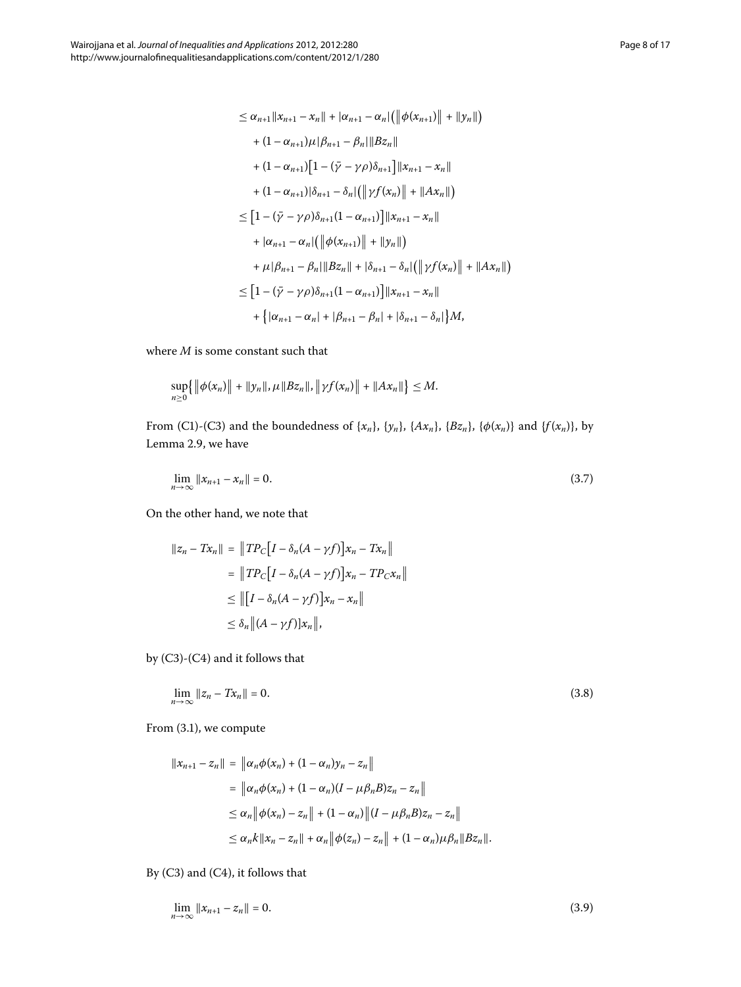$$
\leq \alpha_{n+1} \|x_{n+1} - x_n\| + |\alpha_{n+1} - \alpha_n| \left( \left\|\phi(x_{n+1})\right\| + \left\|y_n\right\|\right) \\
+ (1 - \alpha_{n+1})\mu |\beta_{n+1} - \beta_n| \|Bz_n\| \\
+ (1 - \alpha_{n+1}) \Big[ 1 - (\bar{\gamma} - \gamma \rho) \delta_{n+1} \Big] \|x_{n+1} - x_n\| \\
+ (1 - \alpha_{n+1}) |\delta_{n+1} - \delta_n| \left( \left\|\gamma f(x_n)\right\| + \|Ax_n\|\right) \\
\leq \Big[ 1 - (\bar{\gamma} - \gamma \rho) \delta_{n+1} (1 - \alpha_{n+1}) \Big] \|x_{n+1} - x_n\| \\
+ |\alpha_{n+1} - \alpha_n| \left( \left\|\phi(x_{n+1})\right\| + \left\|y_n\right\|\right) \\
+ \mu |\beta_{n+1} - \beta_n| \|Bz_n\| + |\delta_{n+1} - \delta_n| \left( \left\|\gamma f(x_n)\right\| + \|Ax_n\|\right) \\
\leq \Big[ 1 - (\bar{\gamma} - \gamma \rho) \delta_{n+1} (1 - \alpha_{n+1}) \Big] \|x_{n+1} - x_n\| \\
+ \Big\{ |\alpha_{n+1} - \alpha_n| + |\beta_{n+1} - \beta_n| + |\delta_{n+1} - \delta_n| \Big\} M,
$$

where *M* is some constant such that

<span id="page-7-0"></span>
$$
\sup_{n\geq 0} \{ \|\phi(x_n)\| + \|y_n\|, \mu \|Bz_n\|, \|\gamma f(x_n)\| + \|Ax_n\|\} \leq M.
$$

From (C1)-(C3) and the boundedness of { $x_n$ }, { $y_n$ }, { $Ax_n$ }, { $Bz_n$ }, { $\phi(x_n)$ } and { $f(x_n)$ }, by Lemma 2[.](#page-3-1)9, we have

$$
\lim_{n \to \infty} \|x_{n+1} - x_n\| = 0. \tag{3.7}
$$

On the other hand, we note that

<span id="page-7-1"></span>
$$
||z_n - Tx_n|| = ||TP_C[I - \delta_n(A - \gamma f)]x_n - Tx_n||
$$
  
= 
$$
||TP_C[I - \delta_n(A - \gamma f)]x_n - TP_Cx_n||
$$
  

$$
\leq ||[I - \delta_n(A - \gamma f)]x_n - x_n||
$$
  

$$
\leq \delta_n ||(A - \gamma f)]x_n||,
$$

by  $(C3)-(C4)$  and it follows that

$$
\lim_{n \to \infty} ||z_n - Tx_n|| = 0. \tag{3.8}
$$

From  $(3.1)$ , we compute

<span id="page-7-2"></span>
$$
||x_{n+1} - z_n|| = ||\alpha_n \phi(x_n) + (1 - \alpha_n)y_n - z_n||
$$
  
\n
$$
= ||\alpha_n \phi(x_n) + (1 - \alpha_n)(I - \mu \beta_n B)z_n - z_n||
$$
  
\n
$$
\leq \alpha_n ||\phi(x_n) - z_n|| + (1 - \alpha_n) ||(I - \mu \beta_n B)z_n - z_n||
$$
  
\n
$$
\leq \alpha_n k ||x_n - z_n|| + \alpha_n ||\phi(z_n) - z_n|| + (1 - \alpha_n)\mu \beta_n ||Bz_n||.
$$

By  $(C3)$  and  $(C4)$ , it follows that

$$
\lim_{n \to \infty} \|x_{n+1} - z_n\| = 0. \tag{3.9}
$$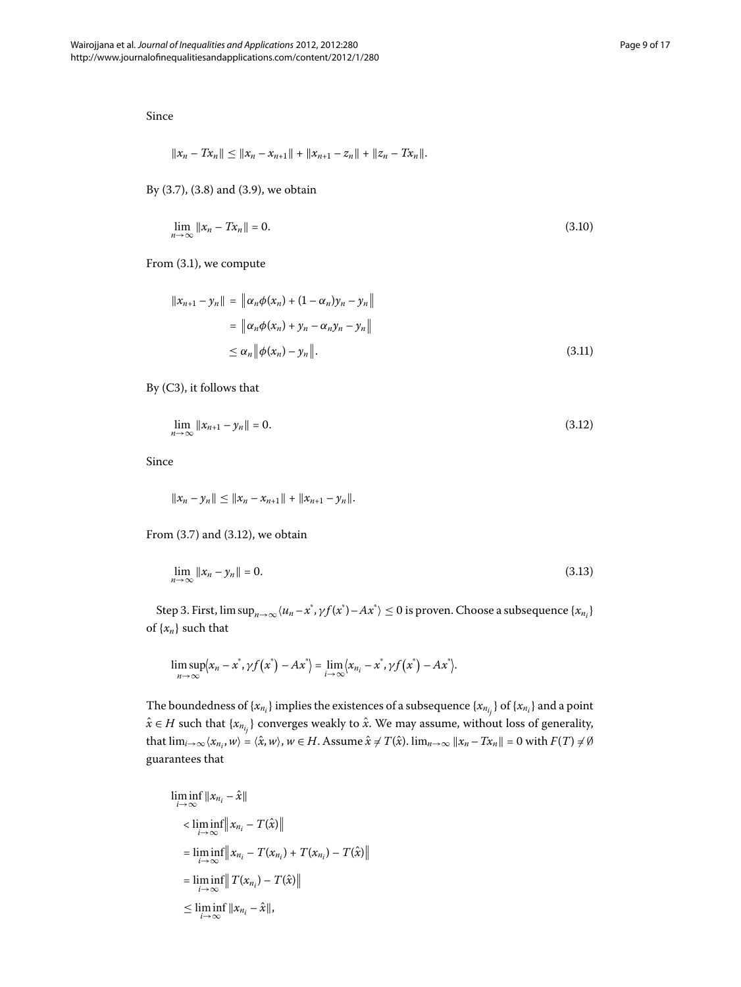Since

$$
||x_n-Tx_n|| \leq ||x_n-x_{n+1}|| + ||x_{n+1}-z_n|| + ||z_n-Tx_n||.
$$

By  $(3.7)$  $(3.7)$  $(3.7)$ ,  $(3.8)$  and  $(3.9)$ , we obtain

$$
\lim_{n \to \infty} ||x_n - Tx_n|| = 0. \tag{3.10}
$$

From  $(3.1)$ , we compute

<span id="page-8-0"></span>
$$
||x_{n+1} - y_n|| = ||\alpha_n \phi(x_n) + (1 - \alpha_n)y_n - y_n||
$$
  

$$
= ||\alpha_n \phi(x_n) + y_n - \alpha_n y_n - y_n||
$$
  

$$
\leq \alpha_n ||\phi(x_n) - y_n||.
$$
 (3.11)

By  $(C3)$ , it follows that

<span id="page-8-1"></span>
$$
\lim_{n \to \infty} \|x_{n+1} - y_n\| = 0. \tag{3.12}
$$

Since

$$
||x_n - y_n|| \le ||x_n - x_{n+1}|| + ||x_{n+1} - y_n||.
$$

From  $(3.7)$  and  $(3.12)$ , we obtain

$$
\lim_{n \to \infty} \|x_n - y_n\| = 0. \tag{3.13}
$$

Step 3. First,  $\limsup_{n\to\infty}$   $\langle u_n-x^*,\gamma f(x^*)-Ax^*\rangle\leq 0$  is proven. Choose a subsequence  $\{x_{n_i}\}$ of  $\{x_n\}$  such that

$$
\limsup_{n\to\infty}\bigl\langle x_n-x^*,\gamma f\bigl(x^*\bigr)-Ax^*\bigr\rangle=\lim_{i\to\infty}\bigl\langle x_{n_i}-x^*,\gamma f\bigl(x^*\bigr)-Ax^*\bigr\rangle.
$$

The boundedness of  $\{x_{n_i}\}$  implies the existences of a subsequence  $\{x_{n_{i_j}}\}$  of  $\{x_{n_i}\}$  and a point  $\hat{x} \in H$  such that  $\{x_{n_{i_j}}\}$  converges weakly to  $\hat{x}$ . We may assume, without loss of generality, that  $\lim_{i\to\infty} \langle x_{n_i}, w \rangle = \langle \hat{x}, w \rangle$ ,  $w \in H$ . Assume  $\hat{x} \neq T(\hat{x})$ .  $\lim_{n\to\infty} ||x_n - Tx_n|| = 0$  with  $F(T) \neq \emptyset$ guarantees that

$$
\liminf_{i \to \infty} ||x_{n_i} - \hat{x}||
$$
\n
$$
< \liminf_{i \to \infty} ||x_{n_i} - T(\hat{x})||
$$
\n
$$
= \liminf_{i \to \infty} ||x_{n_i} - T(x_{n_i}) + T(x_{n_i}) - T(\hat{x})||
$$
\n
$$
= \liminf_{i \to \infty} ||T(x_{n_i}) - T(\hat{x})||
$$
\n
$$
\leq \liminf_{i \to \infty} ||x_{n_i} - \hat{x}||,
$$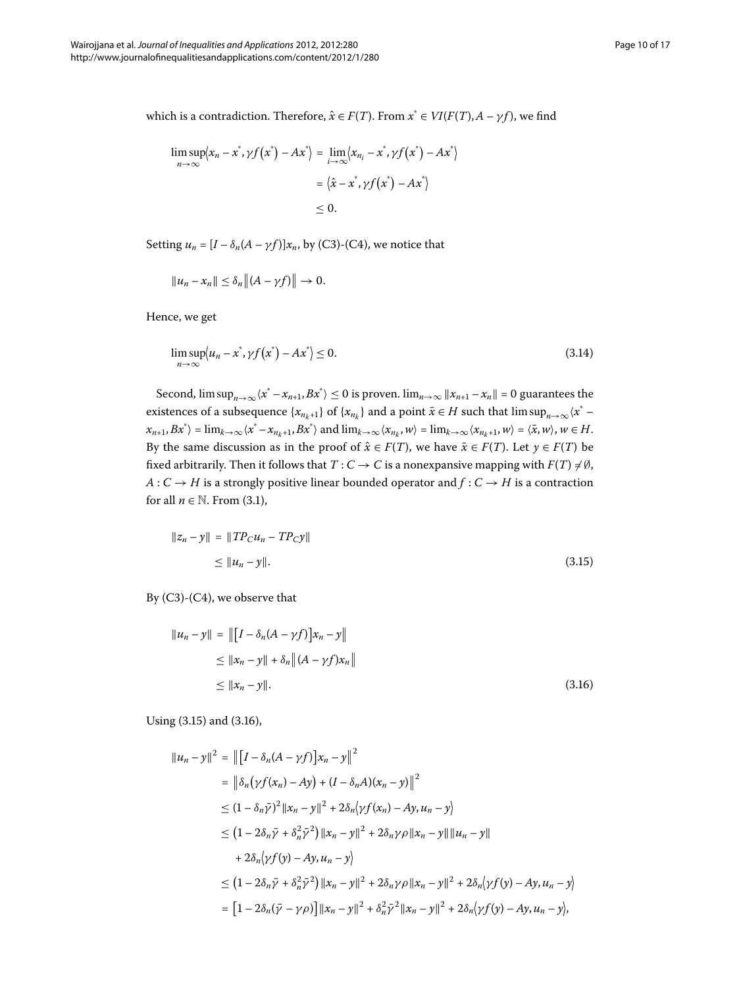which is a contradiction. Therefore,  $\hat{x} \in F(T)$ . From  $x^* \in VI(F(T), A - \gamma f)$ , we find

$$
\limsup_{n \to \infty} \langle x_n - x^*, \gamma f(x^*) - Ax^* \rangle = \lim_{i \to \infty} \langle x_{n_i} - x^*, \gamma f(x^*) - Ax^* \rangle
$$

$$
= \langle \hat{x} - x^*, \gamma f(x^*) - Ax^* \rangle
$$

$$
\leq 0.
$$

Setting  $u_n = [I - \delta_n(A - \gamma f)]x_n$ , by (C3)-(C4), we notice that

<span id="page-9-2"></span>
$$
||u_n-x_n||\leq \delta_n ||(A-\gamma f)||\to 0.
$$

Hence, we get

$$
\limsup_{n \to \infty} \langle u_n - x^*, \gamma f(x^*) - Ax^* \rangle \le 0.
$$
\n(3.14)

<span id="page-9-0"></span>Second,  $\limsup_{n\to\infty}\langle x^* - x_{n+1}, Bx^*\rangle \le 0$  is proven.  $\lim_{n\to\infty} ||x_{n+1} - x_n|| = 0$  guarantees the existences of a subsequence  $\{x_{n_k+1}\}$  of  $\{x_{n_k}\}$  and a point  $\bar{x} \in H$  such that  $\limsup_{n\to\infty} \langle x^* - x^n\rangle$  $\langle x_{n+1}, Bx^* \rangle = \lim_{k \to \infty} \langle x^* - x_{n_k+1}, Bx^* \rangle$  and  $\lim_{k \to \infty} \langle x_{n_k}, w \rangle = \lim_{k \to \infty} \langle x_{n_k+1}, w \rangle = \langle \overline{x}, w \rangle$ ,  $w \in H$ . By the same discussion as in the proof of  $\hat{x} \in F(T)$ , we have  $\bar{x} \in F(T)$ . Let  $y \in F(T)$  be fixed arbitrarily. Then it follows that  $T: C \to C$  is a nonexpansive mapping with  $F(T) \neq \emptyset$ , *A* :  $C \rightarrow H$  is a strongly positive linear bounded operator and  $f : C \rightarrow H$  is a contraction for all  $n \in \mathbb{N}$ . From (3.1),

<span id="page-9-1"></span>
$$
||z_n - y|| = ||TP_C u_n - TP_C y||
$$
  
\n
$$
\le ||u_n - y||. \tag{3.15}
$$

By  $(C3)-(C4)$ , we observe that

$$
||u_n - y|| = ||[I - \delta_n(A - \gamma f)]x_n - y||
$$
  
\n
$$
\le ||x_n - y|| + \delta_n ||(A - \gamma f)x_n||
$$
  
\n
$$
\le ||x_n - y||.
$$
\n(3.16)

Using  $(3.15)$  $(3.15)$  $(3.15)$  and  $(3.16)$ ,

$$
||u_n - y||^2 = ||[I - \delta_n(A - \gamma f)]x_n - y||^2
$$
  
\n
$$
= ||\delta_n(\gamma f(x_n) - Ay) + (I - \delta_n A)(x_n - y)||^2
$$
  
\n
$$
\leq (1 - \delta_n \bar{\gamma})^2 ||x_n - y||^2 + 2\delta_n(\gamma f(x_n) - Ay, u_n - y)
$$
  
\n
$$
\leq (1 - 2\delta_n \bar{\gamma} + \delta_n^2 \bar{\gamma}^2) ||x_n - y||^2 + 2\delta_n\gamma \rho ||x_n - y|| ||u_n - y||
$$
  
\n
$$
+ 2\delta_n(\gamma f(y) - Ay, u_n - y)
$$
  
\n
$$
\leq (1 - 2\delta_n \bar{\gamma} + \delta_n^2 \bar{\gamma}^2) ||x_n - y||^2 + 2\delta_n\gamma \rho ||x_n - y||^2 + 2\delta_n(\gamma f(y) - Ay, u_n - y)
$$
  
\n
$$
= [1 - 2\delta_n(\bar{\gamma} - \gamma \rho)] ||x_n - y||^2 + \delta_n^2 \bar{\gamma}^2 ||x_n - y||^2 + 2\delta_n(\gamma f(y) - Ay, u_n - y),
$$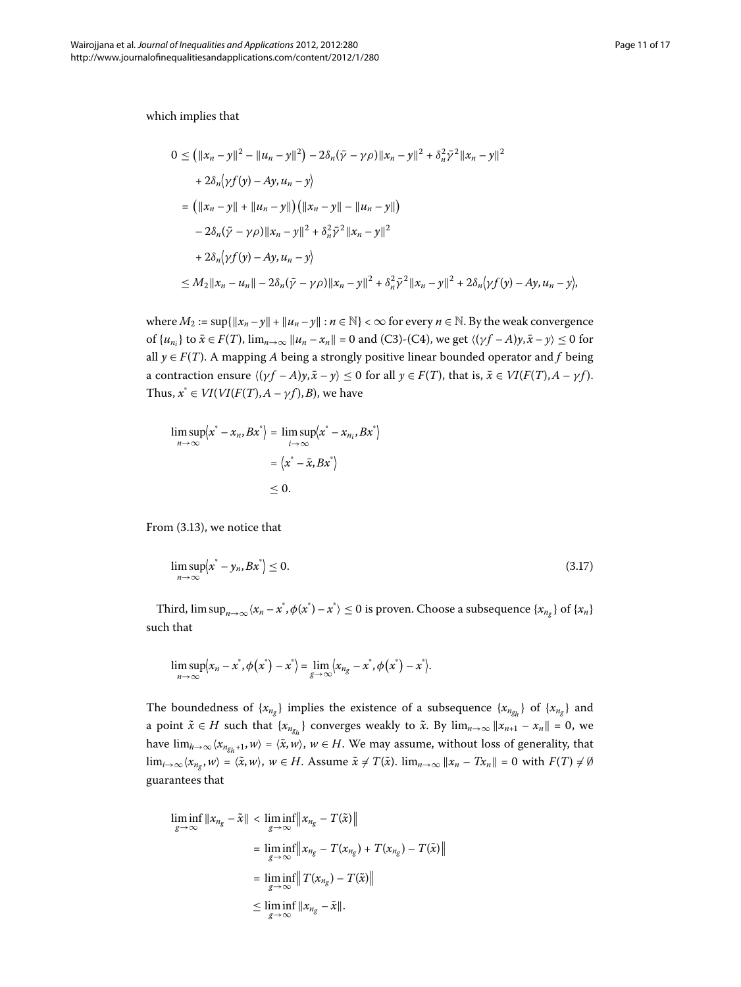which implies that

$$
0 \le (||x_n - y||^2 - ||u_n - y||^2) - 2\delta_n(\bar{y} - \gamma \rho)||x_n - y||^2 + \delta_n^2 \bar{y}^2 ||x_n - y||^2
$$
  
+  $2\delta_n(\gamma f(y) - Ay, u_n - y)$   
=  $(||x_n - y|| + ||u_n - y||)(||x_n - y|| - ||u_n - y||)$   
 $- 2\delta_n(\bar{y} - \gamma \rho)||x_n - y||^2 + \delta_n^2 \bar{y}^2 ||x_n - y||^2$   
+  $2\delta_n(\gamma f(y) - Ay, u_n - y)$   
 $\le M_2 ||x_n - u_n|| - 2\delta_n(\bar{y} - \gamma \rho)||x_n - y||^2 + \delta_n^2 \bar{y}^2 ||x_n - y||^2 + 2\delta_n(\gamma f(y) - Ay, u_n - y),$ 

where  $M_2 := \sup\{\|x_n - y\| + \|u_n - y\| : n \in \mathbb{N}\}<\infty$  for every  $n \in \mathbb{N}$ . By the weak convergence of  $\{u_{n_i}\}\$  to  $\bar{x} \in F(T)$ ,  $\lim_{n\to\infty} ||u_n - x_n|| = 0$  and (C3)-(C4), we get  $\langle (\gamma f - A)y, \bar{x} - y \rangle \le 0$  for all  $y \in F(T)$ . A mapping *A* being a strongly positive linear bounded operator and *f* being a contraction ensure  $\langle (\gamma f - A)\mathbf{y}, \bar{\mathbf{x}} - \mathbf{y} \rangle \le 0$  for all  $\mathbf{y} \in F(T)$ , that is,  $\bar{\mathbf{x}} \in VI(F(T), A - \gamma f)$ . Thus,  $x^* \in VI(VI(F(T), A - \gamma f), B)$ , we have

<span id="page-10-0"></span>
$$
\limsup_{n \to \infty} \langle x^* - x_n, Bx^* \rangle = \limsup_{i \to \infty} \langle x^* - x_{n_i}, Bx^* \rangle
$$

$$
= \langle x^* - \bar{x}, Bx^* \rangle
$$

$$
\leq 0.
$$

From  $(3.13)$ , we notice that

$$
\limsup_{n \to \infty} \langle x^* - y_n, Bx^* \rangle \le 0. \tag{3.17}
$$

Third,  $\limsup_{n\to\infty} \langle x_n - x^*, \phi(x^*) - x^* \rangle \leq 0$  is proven. Choose a subsequence  $\{x_{n_g}\}$  of  $\{x_n\}$ such that

$$
\limsup_{n\to\infty}\langle x_n-x^*,\phi(x^*)-x^*\rangle=\lim_{g\to\infty}\langle x_{n_g}-x^*,\phi(x^*)-x^*\rangle.
$$

The boundedness of  $\{x_{n_g}\}\$ implies the existence of a subsequence  $\{x_{n_g}\}\$  of  $\{x_{n_g}\}\$  and a point  $\tilde{x} \in H$  such that  $\{x_{n_{g_h}}\}$  converges weakly to  $\tilde{x}$ . By  $\lim_{n\to\infty} ||x_{n+1} - x_n|| = 0$ , we have  $\lim_{h\to\infty}\langle x_{n_{g_h+1}}, w\rangle = \langle \tilde x, w\rangle$ ,  $w\in H$ . We may assume, without loss of generality, that  $\lim_{i\to\infty} \langle x_{n_g}, w \rangle = \langle \tilde{x}, w \rangle$ ,  $w \in H$ . Assume  $\tilde{x} \neq T(\tilde{x})$ .  $\lim_{n\to\infty} ||x_n - Tx_n|| = 0$  with  $F(T) \neq \emptyset$ guarantees that

$$
\liminf_{g \to \infty} ||x_{n_g} - \tilde{x}|| < \liminf_{g \to \infty} ||x_{n_g} - T(\tilde{x})||
$$
\n
$$
= \liminf_{g \to \infty} ||x_{n_g} - T(x_{n_g}) + T(x_{n_g}) - T(\tilde{x})||
$$
\n
$$
= \liminf_{g \to \infty} ||T(x_{n_g}) - T(\tilde{x})||
$$
\n
$$
\leq \liminf_{g \to \infty} ||x_{n_g} - \tilde{x}||.
$$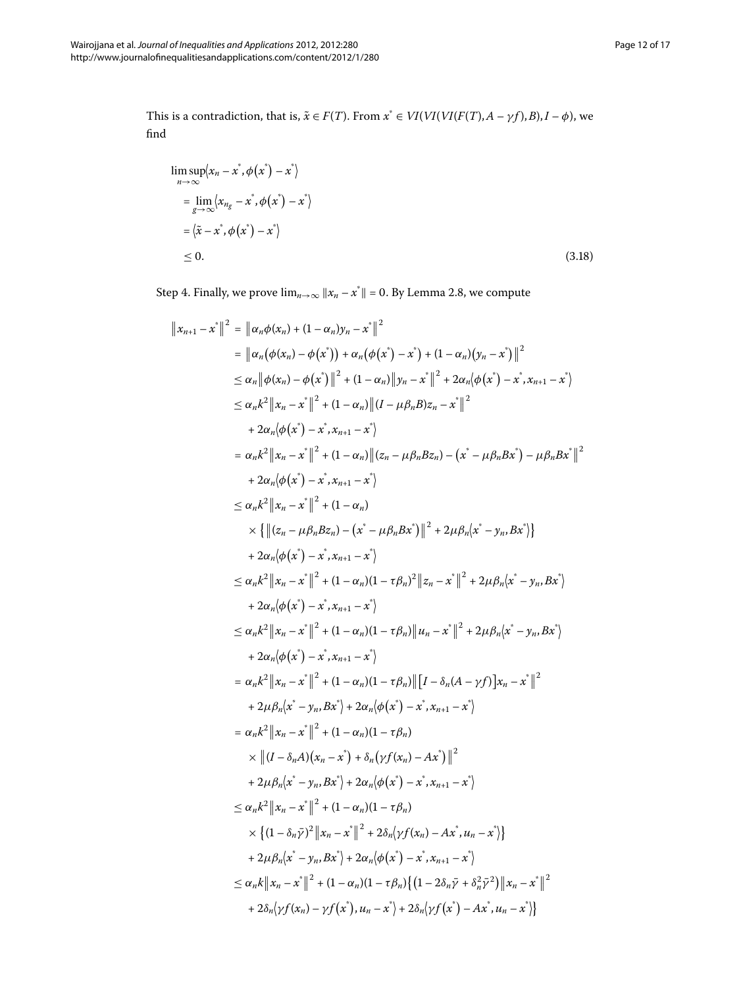<span id="page-11-0"></span>This is a contradiction, that is,  $\tilde{x} \in F(T)$ . From  $x^* \in VI(VI(VI(F(T), A - \gamma f), B), I - \phi)$ , we find

$$
\limsup_{n \to \infty} \langle x_n - x^*, \phi(x^*) - x^* \rangle
$$
\n
$$
= \lim_{g \to \infty} \langle x_{n_g} - x^*, \phi(x^*) - x^* \rangle
$$
\n
$$
= \langle \tilde{x} - x^*, \phi(x^*) - x^* \rangle
$$
\n
$$
\leq 0.
$$
\n(3.18)

Step 4. Finally, we prove  $\lim_{n\to\infty} ||x_n - x^*|| = 0$ . By Lemma 2.8, we compute

$$
\|x_{n+1} - x^*\|^2 = \| \alpha_n \phi(x_n) + (1 - \alpha_n)y_n - x^*\|^2
$$
  
\n
$$
= \| \alpha_n (\phi(x_n) - \phi(x^*)) + \alpha_n (\phi(x^*) - x^*) + (1 - \alpha_n)(y_n - x^*) \|^2
$$
  
\n
$$
\leq \alpha_n k^2 \|x_n - x^*\|^2 + (1 - \alpha_n) \|y_n - x^*\|^2 + 2\alpha_n (\phi(x^*) - x^*, x_{n+1} - x^*)
$$
  
\n
$$
\leq \alpha_n k^2 \|x_n - x^*\|^2 + (1 - \alpha_n) \| (I - \mu \beta_n B) z_n - x^*\|^2
$$
  
\n
$$
+ 2\alpha_n (\phi(x^*) - x^*, x_{n+1} - x^*)
$$
  
\n
$$
= \alpha_n k^2 \|x_n - x^*\|^2 + (1 - \alpha_n) \| (z_n - \mu \beta_n B z_n) - (x^* - \mu \beta_n B x^*) - \mu \beta_n B x^*\|^2
$$
  
\n
$$
+ 2\alpha_n (\phi(x^*) - x^*, x_{n+1} - x^*)
$$
  
\n
$$
\leq \alpha_n k^2 \|x_n - x^*\|^2 + (1 - \alpha_n)
$$
  
\n
$$
\times \{ \| (z_n - \mu \beta_n B z_n) - (x^* - \mu \beta_n B x^*) \|^2 + 2\mu \beta_n (x^* - y_n, B x^*) \}
$$
  
\n
$$
+ 2\alpha_n (\phi(x^*) - x^*, x_{n+1} - x^*)
$$
  
\n
$$
\leq \alpha_n k^2 \|x_n - x^*\|^2 + (1 - \alpha_n)(1 - \tau \beta_n) \|u_n - x^*\|^2 + 2\mu \beta_n (x^* - y_n, B x^*)
$$
  
\n
$$
+ 2\alpha_n (\phi(x^*) - x^*, x_{n+1} - x^*)
$$
  
\n
$$
\leq \alpha_n k^2 \|x_n - x^*\|^2 + (1 - \alpha_n)(1 - \tau \beta_n) \| [I - \delta_n (A - \gamma f)] x_n - x^*\|^2
$$
  
\n
$$
+ 2\alpha_n (\phi(x^*) - x^*, x_{n+1} - x^*)
$$
  
\n
$$
= \alpha_n k^2 \|x_n - x^*\|^2 +
$$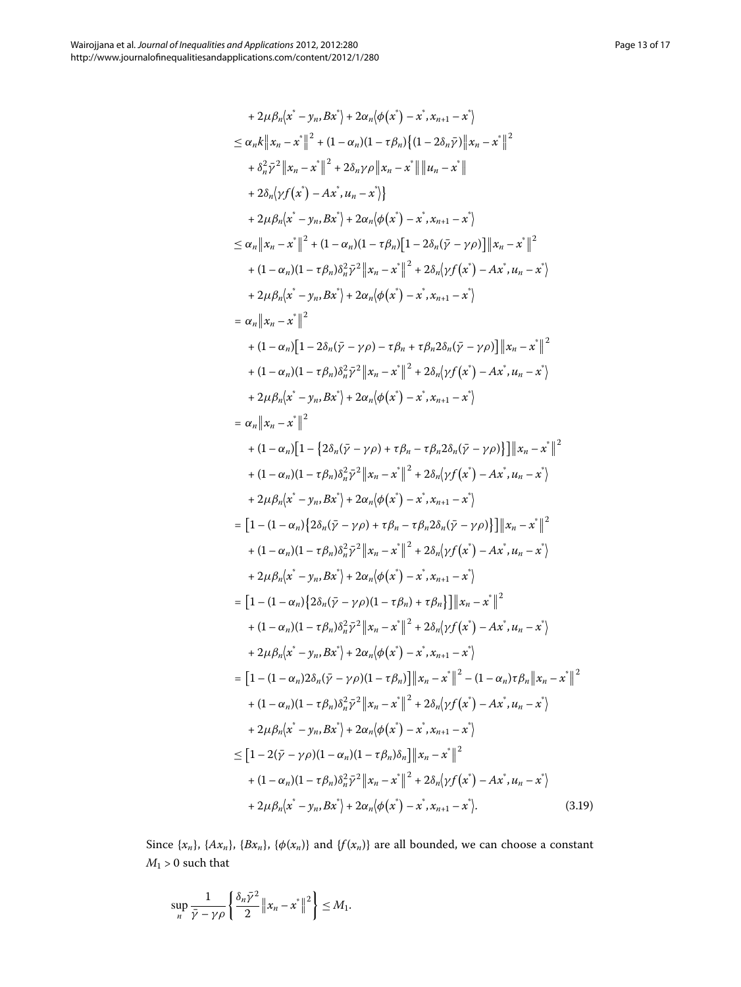+ 2\mu\beta\_n(x^2 - y\_n, Bx^2) + 2\alpha\_n(\phi(x^2) - x^2, x\_{n+1} - x^2)  
\n
$$
\leq \alpha_n k \|x_n - x^*\|^2 + (1 - \alpha_n)(1 - \tau\beta_n)\{(1 - 2\delta_n\bar{y})\|x_n - x^*\|^2  
\n+ \delta_n^2\bar{y}^2\|x_n - x^*\|^2 + 2\delta_n\gamma\rho\|x_n - x^*\|\|u_n - x^*\|  
\n+ 2\lambda_n(\gamma f(x^2) - Ax^*, u_n - x^2)\}\n+ 2\mu\beta_n(x^2 - y_n, Bx^2) + 2\alpha_n(\phi(x^2) - x^2, x_{n+1} - x^2)  
\n $\leq \alpha_n \|x_n - x^*\|^2 + (1 - \alpha_n)(1 - \tau\beta_n)\left[1 - 2\delta_n(\bar{y} - \gamma\rho)\right]\|x_n - x^*\|^2  
\n+ (1 - \alpha_n)(1 - \tau\beta_n)\delta_n^2\bar{y}^2\|x_n - x^*\|^2 + 2\delta_n(\gamma f(x^2) - Ax^*, u_n - x^2)  
\n+ 2\mu\beta_n(x^2 - y_n, Bx^2) + 2\alpha_n(\phi(x^2) - x^2, x_{n+1} - x^2)  
\n+ (1 - \alpha_n)[1 - 2\delta_n(\bar{y} - \gamma\rho) - \tau\beta_n + \tau\beta_n 2\delta_n(\bar{y} - \gamma\rho)]\|x_n - x^*\|^2  
\n+ (1 - \alpha_n)[1 - 2\delta_n(\bar{y} - \gamma\rho) - \tau\beta_n + \tau\beta_n 2\delta_n(\bar{y} - \gamma\rho)]\|x_n - x^*\|^2  
\n+ (1 - \alpha_n)[1 - \tau\beta_n)\delta_n^2\bar{y}^2\|x_n - x^*\|^2 + 2\delta_n(\gamma f(x^2) - Ax^*, u_n - x^2)  
\n+ 2\mu\beta_n(x^2 - y_n, Bx^2) + 2\alpha_n(\phi(x^2) - x^2, x_{n+1} - x^2)  
\n+ (1 - \alpha_n)[1 - \{2\delta_n(\bar{y} - \gamma\rho) + \tau\beta_n - \tau\beta_n 2\delta_n(\bar{y} - \gamma\rho)]\|x_n - x^*\|^2  
\n+ (1 - \alpha_n)[1 - \{\delta_n\delta_n^2\bar{y}$
$$

Since  $\{x_n\}$ ,  $\{Ax_n\}$ ,  $\{\beta x_n\}$ ,  $\{\phi(x_n)\}$  and  $\{f(x_n)\}$  are all bounded, we can choose a constant  $M_1 > 0$  such that

$$
\sup_{n} \frac{1}{\bar{\gamma} - \gamma \rho} \left\{ \frac{\delta_n \bar{\gamma}^2}{2} \|x_n - x^*\|^2 \right\} \le M_1.
$$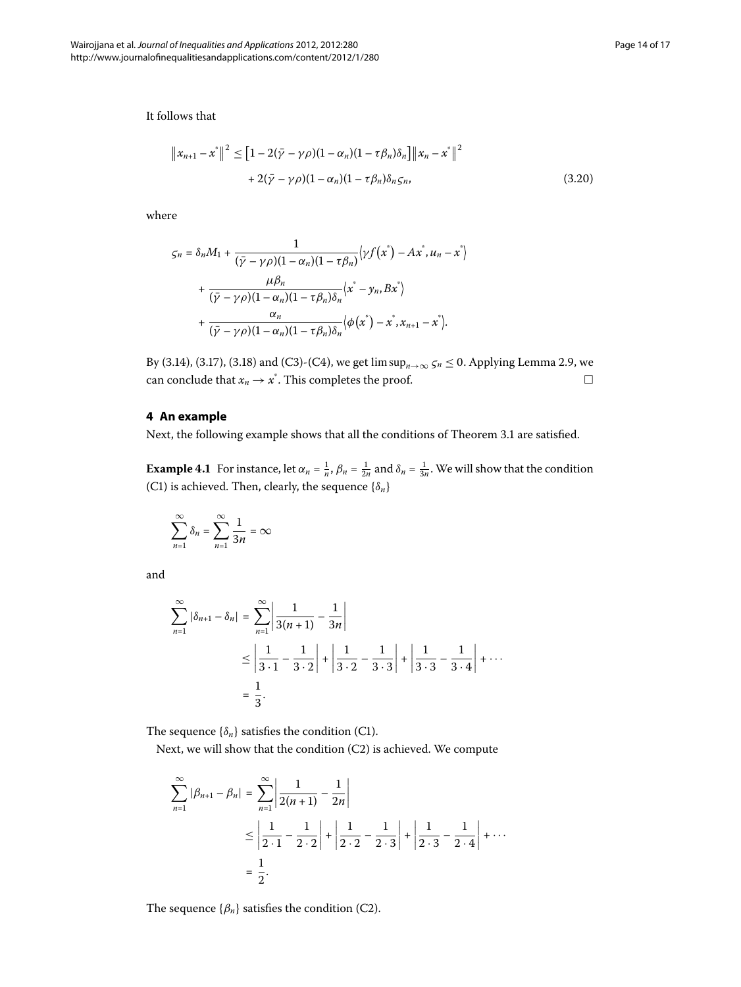It follows that

$$
\|x_{n+1} - x^*\|^2 \le [1 - 2(\bar{\gamma} - \gamma \rho)(1 - \alpha_n)(1 - \tau \beta_n)\delta_n]\|x_n - x^*\|^2
$$
  
+ 2(\bar{\gamma} - \gamma \rho)(1 - \alpha\_n)(1 - \tau \beta\_n)\delta\_n \zeta\_n, (3.20)

where

$$
\zeta_n = \delta_n M_1 + \frac{1}{(\bar{\gamma} - \gamma \rho)(1 - \alpha_n)(1 - \tau \beta_n)} \langle \gamma f(x^*) - Ax^*, u_n - x^* \rangle
$$
  
+ 
$$
\frac{\mu \beta_n}{(\bar{\gamma} - \gamma \rho)(1 - \alpha_n)(1 - \tau \beta_n)\delta_n} \langle x^* - y_n, Bx^* \rangle
$$
  
+ 
$$
\frac{\alpha_n}{(\bar{\gamma} - \gamma \rho)(1 - \alpha_n)(1 - \tau \beta_n)\delta_n} \langle \phi(x^*) - x^*, x_{n+1} - x^* \rangle.
$$

By (3.14), (3.17), (3.18) and (C3)-(C4), we get  $\limsup_{n\to\infty} \zeta_n \leq 0$ . Applying Lemma 2.9, we can conclude that  $x_n \to x^*$ . This completes the proof.  $\Box$  $\Box$ 

# **4 An example**

Next, the following example shows that all the conditions of Theorem 3[.](#page-4-2)1 are satisfied.

**Example 4.1** For instance, let  $\alpha_n = \frac{1}{n}$ ,  $\beta_n = \frac{1}{2n}$  and  $\delta_n = \frac{1}{3n}$ . We will show that the condition (C1) is achieved. Then, clearly, the sequence  $\{\delta_n\}$ 

$$
\sum_{n=1}^{\infty}\delta_n=\sum_{n=1}^{\infty}\frac{1}{3n}=\infty
$$

and

$$
\sum_{n=1}^{\infty} |\delta_{n+1} - \delta_n| = \sum_{n=1}^{\infty} \left| \frac{1}{3(n+1)} - \frac{1}{3n} \right|
$$
  
 
$$
\leq \left| \frac{1}{3 \cdot 1} - \frac{1}{3 \cdot 2} \right| + \left| \frac{1}{3 \cdot 2} - \frac{1}{3 \cdot 3} \right| + \left| \frac{1}{3 \cdot 3} - \frac{1}{3 \cdot 4} \right| + \cdots
$$
  
=  $\frac{1}{3}$ .

The sequence  $\{\delta_n\}$  satisfies the condition (C1).

Next, we will show that the condition (C2) is achieved. We compute

$$
\sum_{n=1}^{\infty} |\beta_{n+1} - \beta_n| = \sum_{n=1}^{\infty} \left| \frac{1}{2(n+1)} - \frac{1}{2n} \right|
$$
  

$$
\leq \left| \frac{1}{2 \cdot 1} - \frac{1}{2 \cdot 2} \right| + \left| \frac{1}{2 \cdot 2} - \frac{1}{2 \cdot 3} \right| + \left| \frac{1}{2 \cdot 3} - \frac{1}{2 \cdot 4} \right| + \cdots
$$
  

$$
= \frac{1}{2}.
$$

The sequence  $\{\beta_n\}$  satisfies the condition (C2).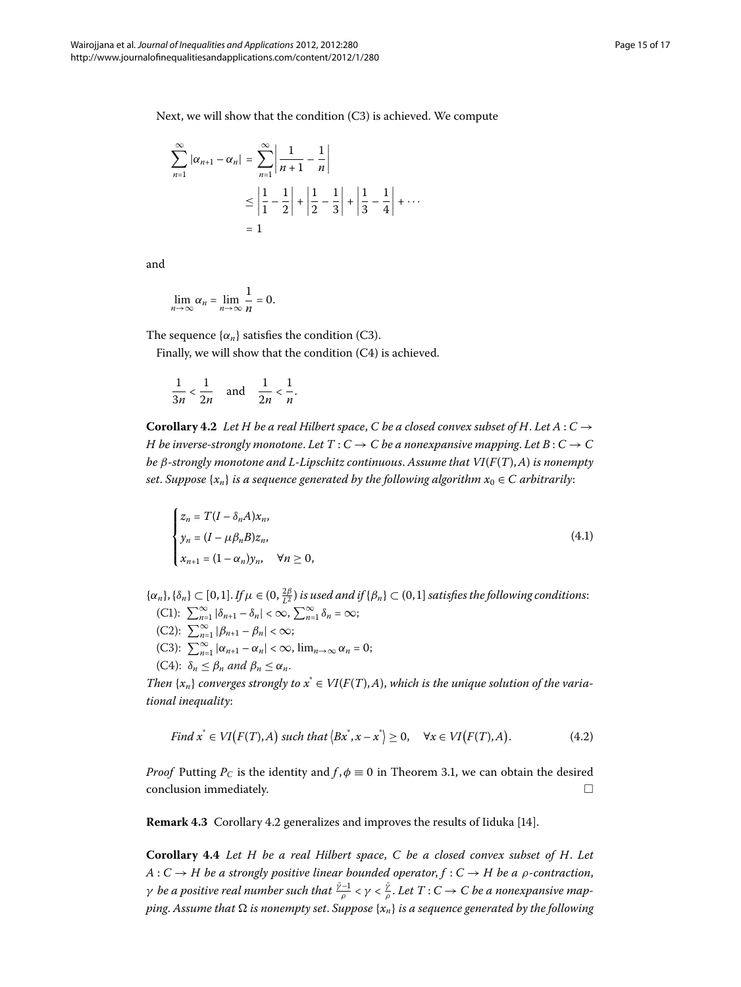Next, we will show that the condition  $(C3)$  is achieved. We compute

$$
\sum_{n=1}^{\infty} |\alpha_{n+1} - \alpha_n| = \sum_{n=1}^{\infty} \left| \frac{1}{n+1} - \frac{1}{n} \right|
$$
  

$$
\leq \left| \frac{1}{1} - \frac{1}{2} \right| + \left| \frac{1}{2} - \frac{1}{3} \right| + \left| \frac{1}{3} - \frac{1}{4} \right| + \cdots
$$
  

$$
= 1
$$

and

$$
\lim_{n\to\infty}\alpha_n=\lim_{n\to\infty}\frac{1}{n}=0.
$$

<span id="page-14-0"></span>The sequence  $\{\alpha_n\}$  satisfies the condition (C3).

Finally, we will show that the condition  $(C4)$  is achieved.

$$
\frac{1}{3n} < \frac{1}{2n} \quad \text{and} \quad \frac{1}{2n} < \frac{1}{n}.
$$

**Corollary 4.2** Let H be a real Hilbert space, C be a closed convex subset of H. Let  $A: C \rightarrow$ *H* be inverse-strongly monotone. Let  $T : C \to C$  be a nonexpansive mapping. Let  $B : C \to C$ *be β-strongly monotone and L-Lipschitz continuous*. *Assume that VI*(*F*(*T*),*A*) *is nonempty set. Suppose*  $\{x_n\}$  *is a sequence generated by the following algorithm*  $x_0 \in C$  *arbitrarily*:

$$
\begin{cases}\n z_n = T(I - \delta_n A)x_n, \\
 y_n = (I - \mu \beta_n B)z_n, \\
 x_{n+1} = (1 - \alpha_n)y_n, \quad \forall n \ge 0,\n\end{cases}
$$
\n(4.1)

 $\{\alpha_n\}, \{\delta_n\} \subset [0,1]$ . *If*  $\mu \in (0, \frac{2\beta}{L^2})$  is used and if  $\{\beta_n\} \subset (0,1]$  satisfies the following conditions:  $(C1):$   $\sum_{n=1}^{\infty} |\delta_{n+1} - \delta_n| < \infty,$   $\sum_{n=1}^{\infty} \delta_n = \infty;$ 

- $(C2): \sum_{n=1}^{\infty} |\beta_{n+1} \beta_n| < \infty;$
- (C3):  $\sum_{n=1}^{\infty} |\alpha_{n+1} \alpha_n| < \infty$ ,  $\lim_{n \to \infty} \alpha_n = 0$ ;
- $(C4): \delta_n \leq \beta_n$  and  $\beta_n \leq \alpha_n$ .

*Then*  $\{x_n\}$  converges strongly to  $x^* \in VI(F(T), A)$ , which is the unique solution of the varia*tional inequality*:

Find 
$$
x^* \in VI(F(T), A)
$$
 such that  $\langle Bx^*, x - x^* \rangle \ge 0$ ,  $\forall x \in VI(F(T), A)$ . (4.2)

<span id="page-14-1"></span>*Proof* Putting  $P_C$  is the identity and  $f, \phi \equiv 0$  in Theorem 3[.](#page-4-2)1, we can obtain the desired  $\Box$  conclusion immediately.  $\Box$ 

**Remark 4[.](#page-14-0)3** Corollary 4.2 generalizes and improves the results of Iiduka [\[](#page-16-1)14].

**Corollary .** *Let H be a real Hilbert space*, *C be a closed convex subset of H*. *Let*  $A: C \rightarrow H$  be a strongly positive linear bounded operator,  $f: C \rightarrow H$  be a  $\rho$ -contraction, *γ be a positive real number such that*  $\frac{\bar{\gamma}-1}{\rho}<\gamma<\frac{\bar{\gamma}}{\rho}.$  *Let*  $T:C\to C$  *be a nonexpansive mapping. Assume that*  $\Omega$  *is nonempty set. Suppose*  $\{x_n\}$  *is a sequence generated by the following*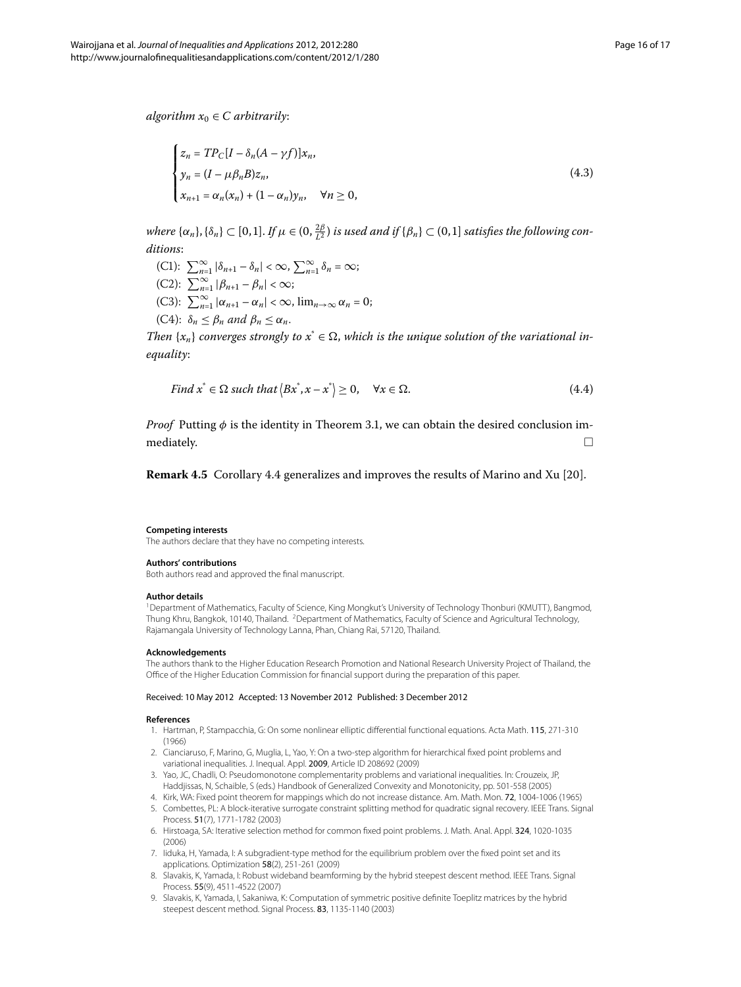*algorithm*  $x_0 \in C$  *arbitrarily*:

$$
\begin{cases}\n z_n = TP_C[I - \delta_n(A - \gamma f)]x_n, \\
 y_n = (I - \mu \beta_n B)z_n, \\
 x_{n+1} = \alpha_n(x_n) + (1 - \alpha_n)y_n, \quad \forall n \ge 0,\n\end{cases}
$$
\n(4.3)

 $\omega$  *where*  $\{\alpha_n\}, \{\delta_n\} \subset [0,1]$ . If  $\mu \in (0, \frac{2\beta}{L^2})$  is used and if  $\{\beta_n\} \subset (0,1]$  satisfies the following con*ditions*:

 $(C1):$   $\sum_{n=1}^{\infty} |\delta_{n+1} - \delta_n| < \infty$ ,  $\sum_{n=1}^{\infty} \delta_n = \infty$ ;  $(C2): \sum_{n=1}^{\infty} |\beta_{n+1} - \beta_n| < \infty;$ (C3):  $\sum_{n=1}^{\infty} |\alpha_{n+1} - \alpha_n| < \infty$ ,  $\lim_{n \to \infty} \alpha_n = 0$ ;  $(C4): \delta_n \leq \beta_n$  and  $\beta_n \leq \alpha_n$ .

*Then*  $\{x_n\}$  *converges strongly to*  $x^* \in \Omega$ , *which is the unique solution of the variational inequality*:

Find 
$$
x^* \in \Omega
$$
 such that  $\langle Bx^*, x - x^* \rangle \ge 0$ ,  $\forall x \in \Omega$ . (4.4)

*Proof* Putting  $\phi$  is the identity in Theorem 3[.](#page-4-2)1, we can obtain the desired conclusion immediately.  $\Box$ 

<span id="page-15-1"></span><span id="page-15-0"></span>**Remark 4[.](#page-14-1)5** Corollary 4.4 generalizes and improves the results of Marino and Xu [20].

#### **Competing interests**

The authors declare that they have no competing interests.

#### **Authors' contributions**

Both authors read and approved the final manuscript.

#### **Author details**

<span id="page-15-2"></span>1Department of Mathematics, Faculty of Science, King Mongkut's University of Technology Thonburi (KMUTT), Bangmod, Thung Khru, Bangkok, 10140, Thailand. <sup>2</sup> Department of Mathematics, Faculty of Science and Agricultural Technology, Rajamangala University of Technology Lanna, Phan, Chiang Rai, 57120, Thailand.

#### <span id="page-15-3"></span>**Acknowledgements**

<span id="page-15-4"></span>The authors thank to the Higher Education Research Promotion and National Research University Project of Thailand, the Office of the Higher Education Commission for financial support during the preparation of this paper.

#### <span id="page-15-6"></span><span id="page-15-5"></span>Received: 10 May 2012 Accepted: 13 November 2012 Published: 3 December 2012

#### **References**

- 1. Hartman, P, Stampacchia, G: On some nonlinear elliptic differential functional equations. Acta Math. 115, 271-310 (1966)
- 2. Cianciaruso, F, Marino, G, Muglia, L, Yao, Y: On a two-step algorithm for hierarchical fixed point problems and variational inequalities. J. Inequal. Appl. 2009, Article ID 208692 (2009)
- 3. Yao, JC, Chadli, O: Pseudomonotone complementarity problems and variational inequalities. In: Crouzeix, JP, Haddjissas, N, Schaible, S (eds.) Handbook of Generalized Convexity and Monotonicity, pp. 501-558 (2005)
- 4. Kirk, WA: Fixed point theorem for mappings which do not increase distance. Am. Math. Mon. 72, 1004-1006 (1965) 5. Combettes, PL: A block-iterative surrogate constraint splitting method for quadratic signal recovery. IEEE Trans. Signal
	- Process. 51(7), 1771-1782 (2003)
- 6. Hirstoaga, SA: Iterative selection method for common fixed point problems. J. Math. Anal. Appl. 324, 1020-1035 (2006)
- 7. Iiduka, H, Yamada, I: A subgradient-type method for the equilibrium problem over the fixed point set and its applications. Optimization 58(2), 251-261 (2009)
- 8. Slavakis, K, Yamada, I: Robust wideband beamforming by the hybrid steepest descent method. IEEE Trans. Signal Process. 55(9), 4511-4522 (2007)
- 9. Slavakis, K, Yamada, I, Sakaniwa, K: Computation of symmetric positive definite Toeplitz matrices by the hybrid steepest descent method. Signal Process. 83, 1135-1140 (2003)